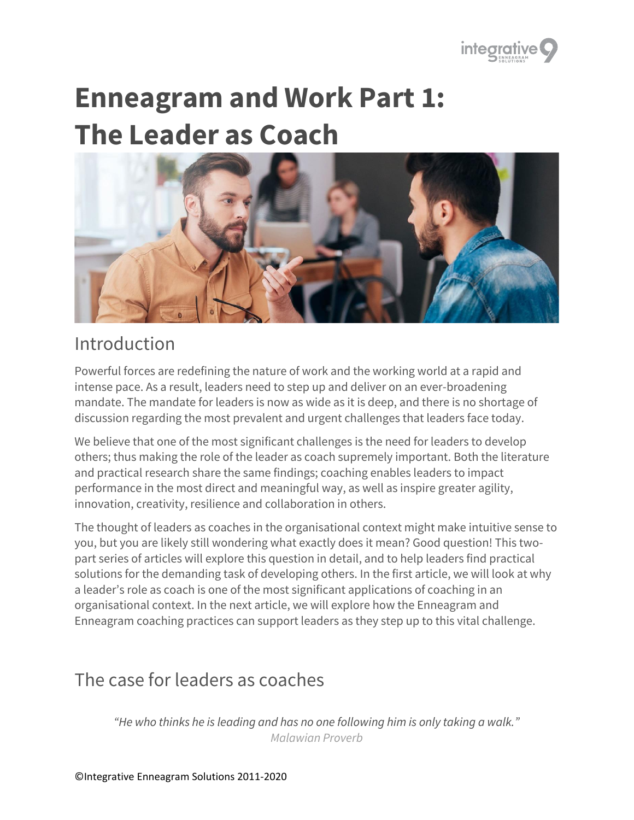

# **Enneagram and Work Part 1: The Leader as Coach**



### Introduction

Powerful forces are redefining the nature of work and the working world at a rapid and intense pace. As a result, leaders need to step up and deliver on an ever-broadening mandate. The mandate for leaders is now as wide as it is deep, and there is no shortage of discussion regarding the most prevalent and urgent challenges that leaders face today.

We believe that one of the most significant challenges is the need for leaders to develop others; thus making the role of the leader as coach supremely important. Both the literature and practical research share the same findings; coaching enables leaders to impact performance in the most direct and meaningful way, as well as inspire greater agility, innovation, creativity, resilience and collaboration in others.

The thought of leaders as coaches in the organisational context might make intuitive sense to you, but you are likely still wondering what exactly does it mean? Good question! This twopart series of articles will explore this question in detail, and to help leaders find practical solutions for the demanding task of developing others. In the first article, we will look at why a leader's role as coach is one of the most significant applications of coaching in an organisational context. In the next article, we will explore how the Enneagram and Enneagram coaching practices can support leaders as they step up to this vital challenge.

### The case for leaders as coaches

*"He who thinks he is leading and has no one following him is only taking a walk." Malawian Proverb*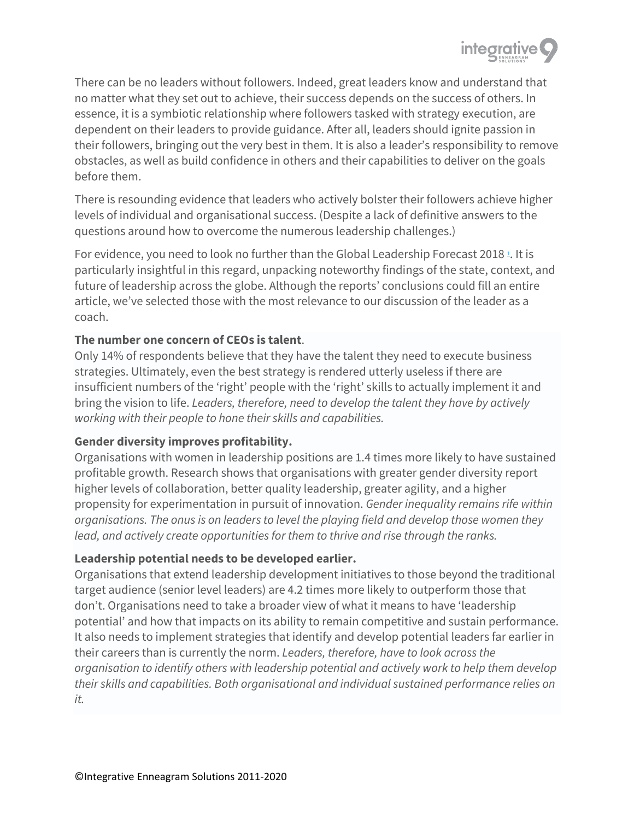

There can be no leaders without followers. Indeed, great leaders know and understand that no matter what they set out to achieve, their success depends on the success of others. In essence, it is a symbiotic relationship where followers tasked with strategy execution, are dependent on their leaders to provide guidance. After all, leaders should ignite passion in their followers, bringing out the very best in them. It is also a leader's responsibility to remove obstacles, as well as build confidence in others and their capabilities to deliver on the goals before them.

There is resounding evidence that leaders who actively bolster their followers achieve higher levels of individual and organisational success. (Despite a lack of definitive answers to the questions around how to overcome the numerous leadership challenges.)

For evidence, you need to look no further than the Global Leadership Forecast 2018<sup>1</sup>[.](https://integrative9.com/media/articles/43/Enneagram-and-Work-Part-1-The-Leader-as-Coach#ref1) It is particularly insightful in this regard, unpacking noteworthy findings of the state, context, and future of leadership across the globe. Although the reports' conclusions could fill an entire article, we've selected those with the most relevance to our discussion of the leader as a coach.

#### **The number one concern of CEOs is talent**.

Only 14% of respondents believe that they have the talent they need to execute business strategies. Ultimately, even the best strategy is rendered utterly useless if there are insufficient numbers of the 'right' people with the 'right' skills to actually implement it and bring the vision to life. *Leaders, therefore, need to develop the talent they have by actively working with their people to hone their skills and capabilities.*

#### **Gender diversity improves profitability.**

Organisations with women in leadership positions are 1.4 times more likely to have sustained profitable growth. Research shows that organisations with greater gender diversity report higher levels of collaboration, better quality leadership, greater agility, and a higher propensity for experimentation in pursuit of innovation. *Gender inequality remains rife within organisations. The onus is on leaders to level the playing field and develop those women they lead, and actively create opportunities for them to thrive and rise through the ranks.*

#### **Leadership potential needs to be developed earlier.**

Organisations that extend leadership development initiatives to those beyond the traditional target audience (senior level leaders) are 4.2 times more likely to outperform those that don't. Organisations need to take a broader view of what it means to have 'leadership potential' and how that impacts on its ability to remain competitive and sustain performance. It also needs to implement strategies that identify and develop potential leaders far earlier in their careers than is currently the norm. *Leaders, therefore, have to look across the organisation to identify others with leadership potential and actively work to help them develop their skills and capabilities. Both organisational and individual sustained performance relies on it.*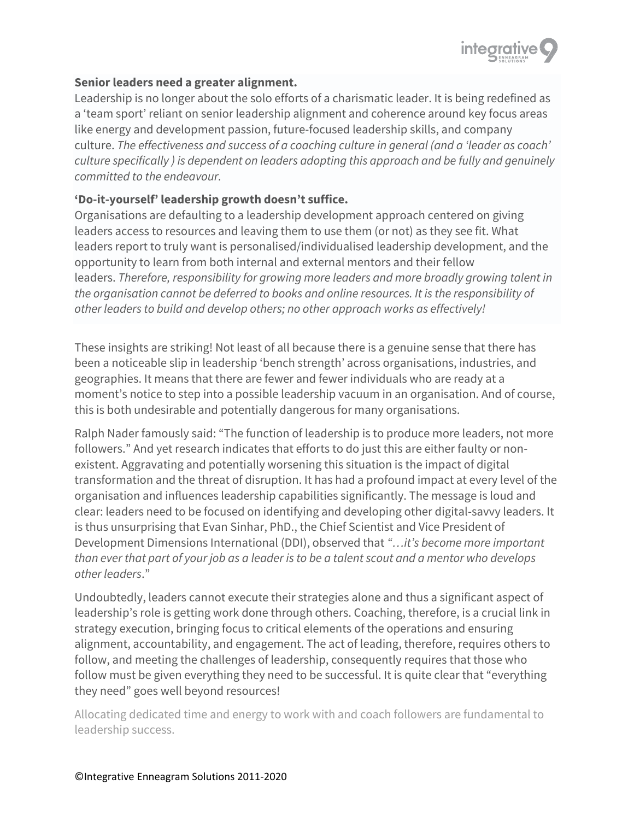

#### **Senior leaders need a greater alignment.**

Leadership is no longer about the solo efforts of a charismatic leader. It is being redefined as a 'team sport' reliant on senior leadership alignment and coherence around key focus areas like energy and development passion, future-focused leadership skills, and company culture. *The effectiveness and success of a coaching culture in general (and a 'leader as coach' culture specifically ) is dependent on leaders adopting this approach and be fully and genuinely committed to the endeavour.*

#### **'Do-it-yourself' leadership growth doesn't suffice.**

Organisations are defaulting to a leadership development approach centered on giving leaders access to resources and leaving them to use them (or not) as they see fit. What leaders report to truly want is personalised/individualised leadership development, and the opportunity to learn from both internal and external mentors and their fellow leaders. *Therefore, responsibility for growing more leaders and more broadly growing talent in the organisation cannot be deferred to books and online resources. It is the responsibility of other leaders to build and develop others; no other approach works as effectively!*

These insights are striking! Not least of all because there is a genuine sense that there has been a noticeable slip in leadership 'bench strength' across organisations, industries, and geographies. It means that there are fewer and fewer individuals who are ready at a moment's notice to step into a possible leadership vacuum in an organisation. And of course, this is both undesirable and potentially dangerous for many organisations.

Ralph Nader famously said: "The function of leadership is to produce more leaders, not more followers." And yet research indicates that efforts to do just this are either faulty or nonexistent. Aggravating and potentially worsening this situation is the impact of digital transformation and the threat of disruption. It has had a profound impact at every level of the organisation and influences leadership capabilities significantly. The message is loud and clear: leaders need to be focused on identifying and developing other digital-savvy leaders. It is thus unsurprising that Evan Sinhar, PhD., the Chief Scientist and Vice President of Development Dimensions International (DDI), observed that *"…it's become more important than ever that part of your job as a leader is to be a talent scout and a mentor who develops other leaders*."

Undoubtedly, leaders cannot execute their strategies alone and thus a significant aspect of leadership's role is getting work done through others. Coaching, therefore, is a crucial link in strategy execution, bringing focus to critical elements of the operations and ensuring alignment, accountability, and engagement. The act of leading, therefore, requires others to follow, and meeting the challenges of leadership, consequently requires that those who follow must be given everything they need to be successful. It is quite clear that "everything they need" goes well beyond resources!

Allocating dedicated time and energy to work with and coach followers are fundamental to leadership success.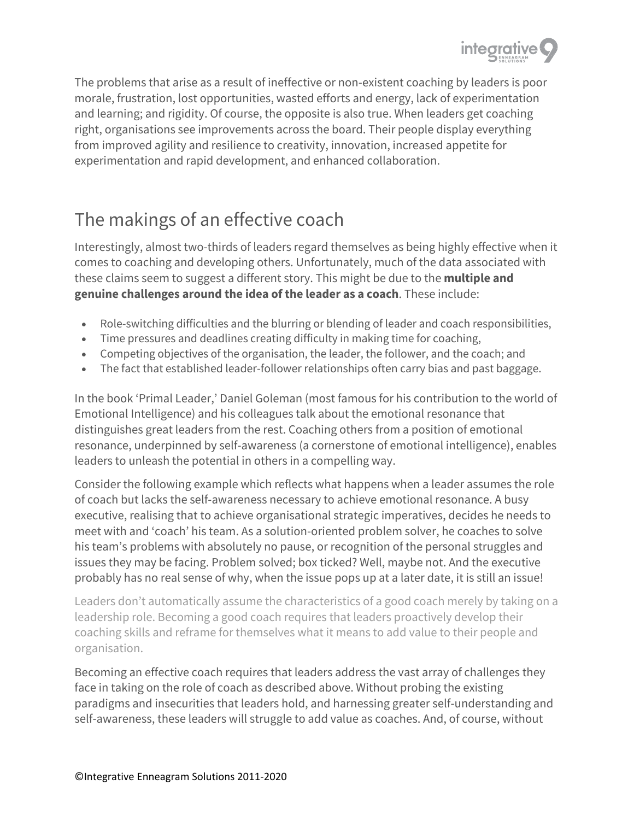

The problems that arise as a result of ineffective or non-existent coaching by leaders is poor morale, frustration, lost opportunities, wasted efforts and energy, lack of experimentation and learning; and rigidity. Of course, the opposite is also true. When leaders get coaching right, organisations see improvements across the board. Their people display everything from improved agility and resilience to creativity, innovation, increased appetite for experimentation and rapid development, and enhanced collaboration.

## The makings of an effective coach

Interestingly, almost two-thirds of leaders regard themselves as being highly effective when it comes to coaching and developing others. Unfortunately, much of the data associated with these claims seem to suggest a different story. This might be due to the **multiple and genuine challenges around the idea of the leader as a coach**. These include:

- Role-switching difficulties and the blurring or blending of leader and coach responsibilities,
- Time pressures and deadlines creating difficulty in making time for coaching,
- Competing objectives of the organisation, the leader, the follower, and the coach; and
- The fact that established leader-follower relationships often carry bias and past baggage.

In the book 'Primal Leader,' Daniel Goleman (most famous for his contribution to the world of Emotional Intelligence) and his colleagues talk about the emotional resonance that distinguishes great leaders from the rest. Coaching others from a position of emotional resonance, underpinned by self-awareness (a cornerstone of emotional intelligence), enables leaders to unleash the potential in others in a compelling way.

Consider the following example which reflects what happens when a leader assumes the role of coach but lacks the self-awareness necessary to achieve emotional resonance. A busy executive, realising that to achieve organisational strategic imperatives, decides he needs to meet with and 'coach' his team. As a solution-oriented problem solver, he coaches to solve his team's problems with absolutely no pause, or recognition of the personal struggles and issues they may be facing. Problem solved; box ticked? Well, maybe not. And the executive probably has no real sense of why, when the issue pops up at a later date, it is still an issue!

Leaders don't automatically assume the characteristics of a good coach merely by taking on a leadership role. Becoming a good coach requires that leaders proactively develop their coaching skills and reframe for themselves what it means to add value to their people and organisation.

Becoming an effective coach requires that leaders address the vast array of challenges they face in taking on the role of coach as described above. Without probing the existing paradigms and insecurities that leaders hold, and harnessing greater self-understanding and self-awareness, these leaders will struggle to add value as coaches. And, of course, without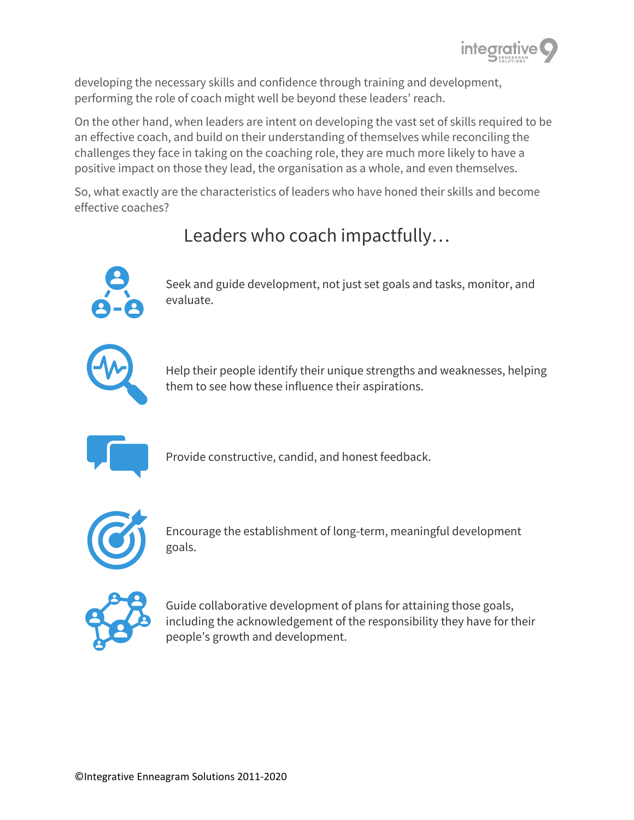

developing the necessary skills and confidence through training and development, performing the role of coach might well be beyond these leaders' reach.

On the other hand, when leaders are intent on developing the vast set of skills required to be an effective coach, and build on their understanding of themselves while reconciling the challenges they face in taking on the coaching role, they are much more likely to have a positive impact on those they lead, the organisation as a whole, and even themselves.

So, what exactly are the characteristics of leaders who have honed their skills and become effective coaches?

# Leaders who coach impactfully…



Seek and guide development, not just set goals and tasks, monitor, and evaluate.



Help their people identify their unique strengths and weaknesses, helping them to see how these influence their aspirations.



Provide constructive, candid, and honest feedback.



Encourage the establishment of long-term, meaningful development goals.



Guide collaborative development of plans for attaining those goals, including the acknowledgement of the responsibility they have for their people's growth and development.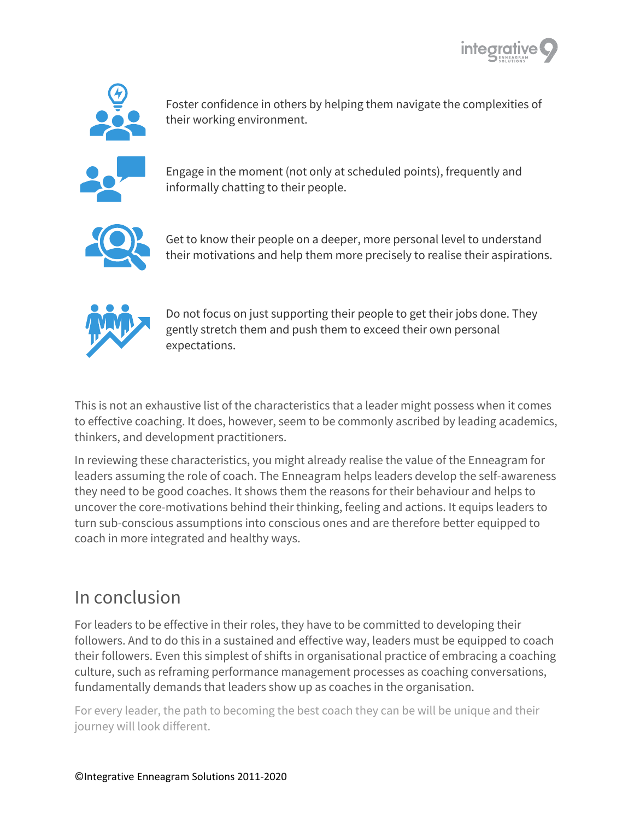



Foster confidence in others by helping them navigate the complexities of their working environment.



Engage in the moment (not only at scheduled points), frequently and informally chatting to their people.



Get to know their people on a deeper, more personal level to understand their motivations and help them more precisely to realise their aspirations.



Do not focus on just supporting their people to get their jobs done. They gently stretch them and push them to exceed their own personal expectations.

This is not an exhaustive list of the characteristics that a leader might possess when it comes to effective coaching. It does, however, seem to be commonly ascribed by leading academics, thinkers, and development practitioners.

In reviewing these characteristics, you might already realise the value of the Enneagram for leaders assuming the role of coach. The Enneagram helps leaders develop the self-awareness they need to be good coaches. It shows them the reasons for their behaviour and helps to uncover the core-motivations behind their thinking, feeling and actions. It equips leaders to turn sub-conscious assumptions into conscious ones and are therefore better equipped to coach in more integrated and healthy ways.

### In conclusion

For leaders to be effective in their roles, they have to be committed to developing their followers. And to do this in a sustained and effective way, leaders must be equipped to coach their followers. Even this simplest of shifts in organisational practice of embracing a coaching culture, such as reframing performance management processes as coaching conversations, fundamentally demands that leaders show up as coaches in the organisation.

For every leader, the path to becoming the best coach they can be will be unique and their journey will look different.